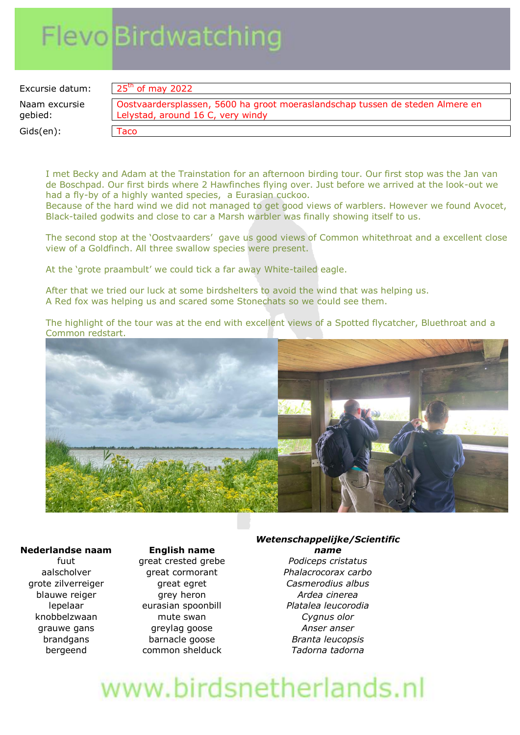# **Flevo Birdwatching**

Excursie datum: Naam excursie gebied:

 $Gids(en)$ :

| Oostvaardersplassen, 5600 ha groot moeraslandschap tussen de steden Almere en |
|-------------------------------------------------------------------------------|
| Lelystad, around 16 C, very windy                                             |

I met Becky and Adam at the Trainstation for an afternoon birding tour. Our first stop was the Jan van de Boschpad. Our first birds where 2 Hawfinches flying over. Just before we arrived at the look-out we had a fly-by of a highly wanted species, a Eurasian cuckoo.

Because of the hard wind we did not managed to get good views of warblers. However we found Avocet, Black-tailed godwits and close to car a Marsh warbler was finally showing itself to us.

The second stop at the 'Oostvaarders' gave us good views of Common whitethroat and a excellent close view of a Goldfinch. All three swallow species were present.

At the 'grote praambult' we could tick a far away White-tailed eagle.

After that we tried our luck at some birdshelters to avoid the wind that was helping us. A Red fox was helping us and scared some Stonechats so we could see them.

The highlight of the tour was at the end with excellent views of a Spotted flycatcher, Bluethroat and a Common redstart.



#### **Nederlandse naam English name**

fuut great crested grebe *Podiceps cristatus* grote zilverreiger great egret *Casmerodius albus* blauwe reiger **grey heron Ardea** cinerea lepelaar eurasian spoonbill *Platalea leucorodia* knobbelzwaan mute swan *Cygnus olor* grauwe gans greylag goose *Anser anser* brandgans barnacle goose *Branta leucopsis* bergeend common shelduck *Tadorna tadorna*

#### *Wetenschappelijke/Scientific name*

aalscholver great cormorant *Phalacrocorax carbo*

# www.birdsnetherlands.nl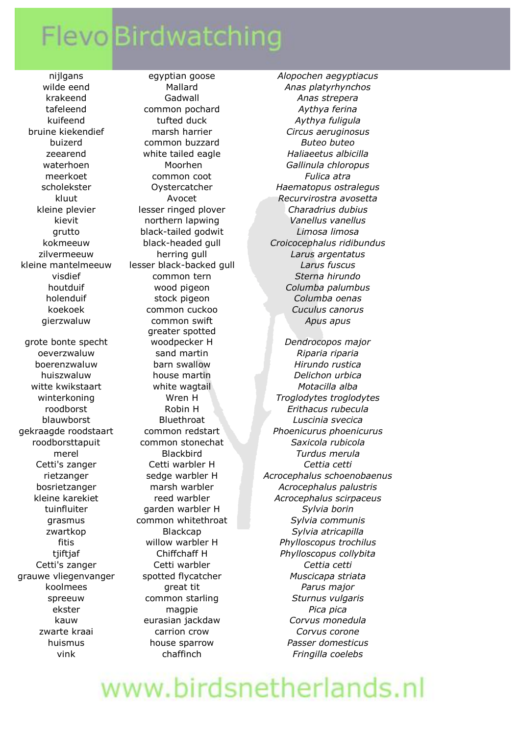### **Flevo Birdwatching**

grote bonte specht

krakeend Gadwall *Anas strepera* tafeleend common pochard *Aythya ferina* kuifeend tufted duck *Aythya fuligula* buizerd common buzzard *Buteo buteo* meerkoet common coot *Fulica atra* grutto black-tailed godwit *Limosa limosa* kleine mantelmeeuw lesser black-backed gull *Larus fuscus* visdief common tern *Sterna hirundo* holenduif stock pigeon *Columba oenas* koekoek common cuckoo *Cuculus canorus* gierzwaluw common swift *Apus apus* greater spotted oeverzwaluw sand martin *Riparia riparia* boerenzwaluw barn swallow *Hirundo rustica* huiszwaluw house martin *Delichon urbica* witte kwikstaart white wagtail *Motacilla alba* merel Blackbird *Turdus merula* Cetti's zanger Cetti warbler H *Cettia cetti* tuinfluiter garden warbler H *Sylvia borin* Cetti's zanger Cetti warbler *Cettia cetti* koolmees great tit *Parus major* ekster magpie *Pica pica* zwarte kraai carrion crow *Corvus corone* vink chaffinch *Fringilla coelebs*

nijlgans egyptian goose *Alopochen aegyptiacus* wilde eend **Mallard** *Anas platyrhynchos* bruine kiekendief marsh harrier *Circus aeruginosus* zeearend white tailed eagle *Haliaeetus albicilla* waterhoen Moorhen *Gallinula chloropus* scholekster Oystercatcher *Haematopus ostralegus* kluut Avocet *Recurvirostra avosetta* kleine plevier lesser ringed plover *Charadrius dubius* kievit northern lapwing *Vanellus vanellus* kokmeeuw black-headed gull *Croicocephalus ridibundus* zilvermeeuw herring gull *Larus argentatus* houtduif wood pigeon *Columba palumbus* woodpecker H *Dendrocopos major* winterkoning Wren H *Troglodytes troglodytes* roodborst Robin H *Erithacus rubecula*

blauwborst Bluethroat *Luscinia svecica* gekraagde roodstaart common redstart *Phoenicurus phoenicurus* roodborsttapuit common stonechat *Saxicola rubicola* rietzanger sedge warbler H *Acrocephalus schoenobaenus* bosrietzanger marsh warbler *Acrocephalus palustris* kleine karekiet reed warbler *Acrocephalus scirpaceus* grasmus common whitethroat *Sylvia communis* zwartkop Blackcap *Sylvia atricapilla*  fitis willow warbler H *Phylloscopus trochilus*  tjiftjaf Chiffchaff H *Phylloscopus collybita* grauwe vliegenvanger spotted flycatcher *Muscicapa striata* spreeuw common starling *Sturnus vulgaris* kauw eurasian jackdaw *Corvus monedula*  huismus house sparrow *Passer domesticus*

## www.birdsnetherlands.nl